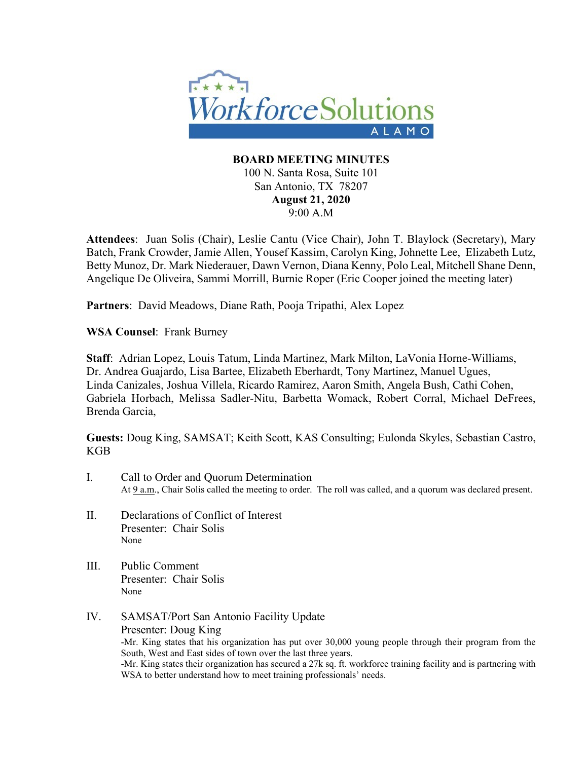

## **BOARD MEETING MINUTES** 100 N. Santa Rosa, Suite 101 San Antonio, TX 78207 **August 21, 2020** 9:00 A.M

**Attendees**: Juan Solis (Chair), Leslie Cantu (Vice Chair), John T. Blaylock (Secretary), Mary Batch, Frank Crowder, Jamie Allen, Yousef Kassim, Carolyn King, Johnette Lee, Elizabeth Lutz, Betty Munoz, Dr. Mark Niederauer, Dawn Vernon, Diana Kenny, Polo Leal, Mitchell Shane Denn, Angelique De Oliveira, Sammi Morrill, Burnie Roper (Eric Cooper joined the meeting later)

**Partners**: David Meadows, Diane Rath, Pooja Tripathi, Alex Lopez

**WSA Counsel**: Frank Burney

**Staff**: Adrian Lopez, Louis Tatum, Linda Martinez, Mark Milton, LaVonia Horne-Williams, Dr. Andrea Guajardo, Lisa Bartee, Elizabeth Eberhardt, Tony Martinez, Manuel Ugues, Linda Canizales, Joshua Villela, Ricardo Ramirez, Aaron Smith, Angela Bush, Cathi Cohen, Gabriela Horbach, Melissa Sadler-Nitu, Barbetta Womack, Robert Corral, Michael DeFrees, Brenda Garcia,

**Guests:** Doug King, SAMSAT; Keith Scott, KAS Consulting; Eulonda Skyles, Sebastian Castro, KGB

- I. Call to Order and Quorum Determination At  $9 a.m.$ , Chair Solis called the meeting to order. The roll was called, and a quorum was declared present.
- II. Declarations of Conflict of Interest Presenter: Chair Solis None
- III. Public Comment Presenter: Chair Solis None
- IV. SAMSAT/Port San Antonio Facility Update Presenter: Doug King -Mr. King states that his organization has put over 30,000 young people through their program from the South, West and East sides of town over the last three years. -Mr. King states their organization has secured a 27k sq. ft. workforce training facility and is partnering with WSA to better understand how to meet training professionals' needs.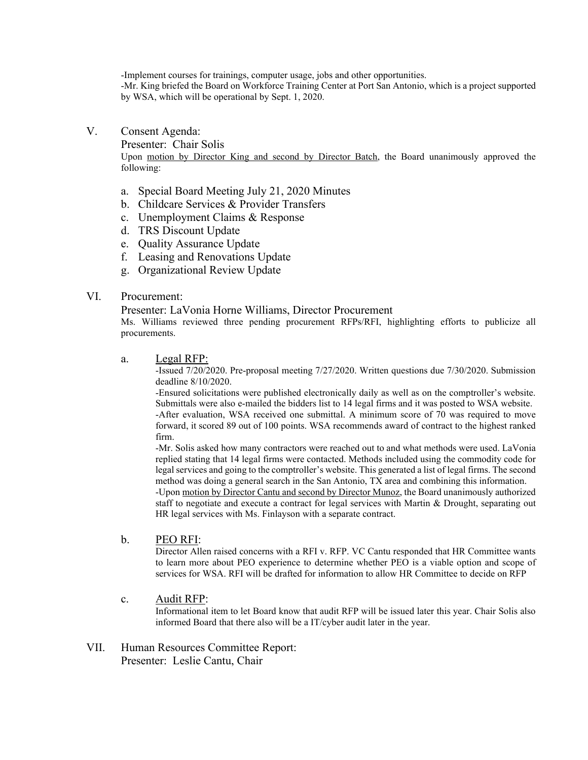-Implement courses for trainings, computer usage, jobs and other opportunities.

-Mr. King briefed the Board on Workforce Training Center at Port San Antonio, which is a project supported by WSA, which will be operational by Sept. 1, 2020.

#### V. Consent Agenda:

Presenter: Chair Solis

Upon motion by Director King and second by Director Batch, the Board unanimously approved the following:

- a. Special Board Meeting July 21, 2020 Minutes
- b. Childcare Services & Provider Transfers
- c. Unemployment Claims & Response
- d. TRS Discount Update
- e. Quality Assurance Update
- f. Leasing and Renovations Update
- g. Organizational Review Update

#### VI. Procurement:

Presenter: LaVonia Horne Williams, Director Procurement

Ms. Williams reviewed three pending procurement RFPs/RFI, highlighting efforts to publicize all procurements.

a. Legal RFP:<br>-Issued 7/20/2020. Pre-proposal meeting 7/27/2020. Written questions due 7/30/2020. Submission deadline 8/10/2020.

-Ensured solicitations were published electronically daily as well as on the comptroller's website. Submittals were also e-mailed the bidders list to 14 legal firms and it was posted to WSA website.

-After evaluation, WSA received one submittal. A minimum score of 70 was required to move forward, it scored 89 out of 100 points. WSA recommends award of contract to the highest ranked firm.

-Mr. Solis asked how many contractors were reached out to and what methods were used. LaVonia replied stating that 14 legal firms were contacted. Methods included using the commodity code for legal services and going to the comptroller's website. This generated a list of legal firms. The second method was doing a general search in the San Antonio, TX area and combining this information.

-Upon motion by Director Cantu and second by Director Munoz, the Board unanimously authorized staff to negotiate and execute a contract for legal services with Martin & Drought, separating out HR legal services with Ms. Finlayson with a separate contract.

#### b. PEO RFI:

Director Allen raised concerns with a RFI v. RFP. VC Cantu responded that HR Committee wants to learn more about PEO experience to determine whether PEO is a viable option and scope of services for WSA. RFI will be drafted for information to allow HR Committee to decide on RFP

#### c. Audit RFP:

Informational item to let Board know that audit RFP will be issued later this year. Chair Solis also informed Board that there also will be a IT/cyber audit later in the year.

VII. Human Resources Committee Report: Presenter: Leslie Cantu, Chair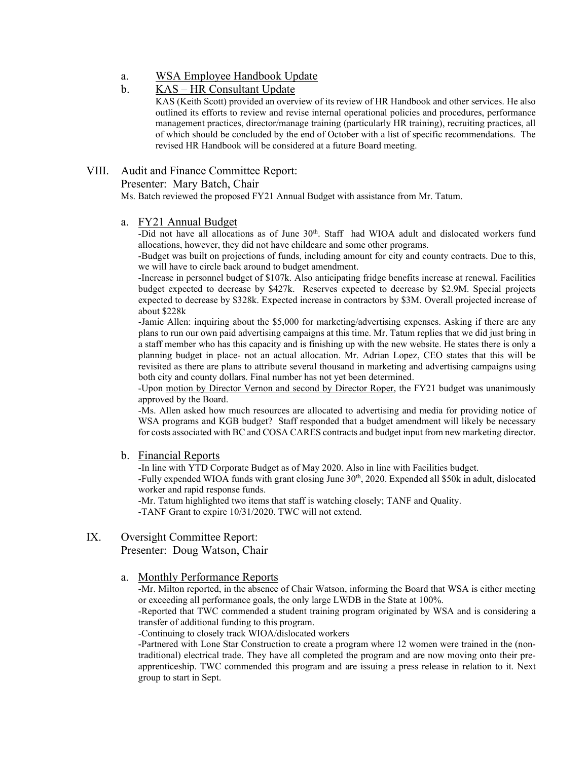a. WSA Employee Handbook Update

## b. KAS – HR Consultant Update

KAS (Keith Scott) provided an overview of its review of HR Handbook and other services. He also outlined its efforts to review and revise internal operational policies and procedures, performance management practices, director/manage training (particularly HR training), recruiting practices, all of which should be concluded by the end of October with a list of specific recommendations. The revised HR Handbook will be considered at a future Board meeting.

## VIII. Audit and Finance Committee Report:

Presenter: Mary Batch, Chair

Ms. Batch reviewed the proposed FY21 Annual Budget with assistance from Mr. Tatum.

#### a. FY21 Annual Budget

-Did not have all allocations as of June  $30<sup>th</sup>$ . Staff had WIOA adult and dislocated workers fund allocations, however, they did not have childcare and some other programs.

-Budget was built on projections of funds, including amount for city and county contracts. Due to this, we will have to circle back around to budget amendment.

-Increase in personnel budget of \$107k. Also anticipating fridge benefits increase at renewal. Facilities budget expected to decrease by \$427k. Reserves expected to decrease by \$2.9M. Special projects expected to decrease by \$328k. Expected increase in contractors by \$3M. Overall projected increase of about \$228k

-Jamie Allen: inquiring about the \$5,000 for marketing/advertising expenses. Asking if there are any plans to run our own paid advertising campaigns at this time. Mr. Tatum replies that we did just bring in a staff member who has this capacity and is finishing up with the new website. He states there is only a planning budget in place- not an actual allocation. Mr. Adrian Lopez, CEO states that this will be revisited as there are plans to attribute several thousand in marketing and advertising campaigns using both city and county dollars. Final number has not yet been determined.

-Upon motion by Director Vernon and second by Director Roper, the FY21 budget was unanimously approved by the Board.

-Ms. Allen asked how much resources are allocated to advertising and media for providing notice of WSA programs and KGB budget? Staff responded that a budget amendment will likely be necessary for costs associated with BC and COSA CARES contracts and budget input from new marketing director.

#### b. Financial Reports

-In line with YTD Corporate Budget as of May 2020. Also in line with Facilities budget.

-Fully expended WIOA funds with grant closing June 30<sup>th</sup>, 2020. Expended all \$50k in adult, dislocated worker and rapid response funds.

-Mr. Tatum highlighted two items that staff is watching closely; TANF and Quality.

-TANF Grant to expire 10/31/2020. TWC will not extend.

## IX. Oversight Committee Report:

Presenter: Doug Watson, Chair

#### a. Monthly Performance Reports

-Mr. Milton reported, in the absence of Chair Watson, informing the Board that WSA is either meeting or exceeding all performance goals, the only large LWDB in the State at 100%.

-Reported that TWC commended a student training program originated by WSA and is considering a transfer of additional funding to this program.

-Continuing to closely track WIOA/dislocated workers

-Partnered with Lone Star Construction to create a program where 12 women were trained in the (nontraditional) electrical trade. They have all completed the program and are now moving onto their preapprenticeship. TWC commended this program and are issuing a press release in relation to it. Next group to start in Sept.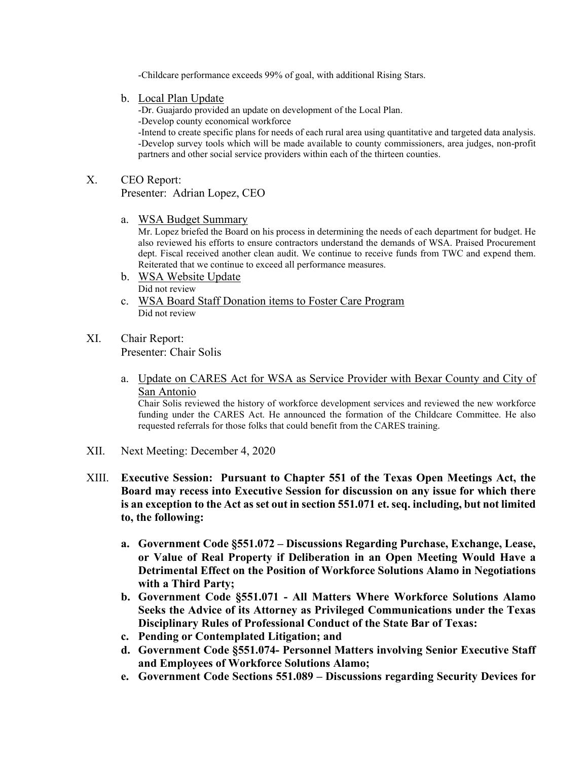-Childcare performance exceeds 99% of goal, with additional Rising Stars.

b. Local Plan Update

-Dr. Guajardo provided an update on development of the Local Plan. -Develop county economical workforce

-Intend to create specific plans for needs of each rural area using quantitative and targeted data analysis. -Develop survey tools which will be made available to county commissioners, area judges, non-profit partners and other social service providers within each of the thirteen counties.

## X. CEO Report:

Presenter: Adrian Lopez, CEO

a. WSA Budget Summary

Mr. Lopez briefed the Board on his process in determining the needs of each department for budget. He also reviewed his efforts to ensure contractors understand the demands of WSA. Praised Procurement dept. Fiscal received another clean audit. We continue to receive funds from TWC and expend them. Reiterated that we continue to exceed all performance measures.

- b. WSA Website Update Did not review
- c. WSA Board Staff Donation items to Foster Care Program Did not review

# XI. Chair Report:

Presenter: Chair Solis

a. Update on CARES Act for WSA as Service Provider with Bexar County and City of San Antonio

Chair Solis reviewed the history of workforce development services and reviewed the new workforce funding under the CARES Act. He announced the formation of the Childcare Committee. He also requested referrals for those folks that could benefit from the CARES training.

- XII. Next Meeting: December 4, 2020
- XIII. **Executive Session: Pursuant to Chapter 551 of the Texas Open Meetings Act, the Board may recess into Executive Session for discussion on any issue for which there is an exception to the Act as set out in section 551.071 et. seq. including, but not limited to, the following:** 
	- **a. Government Code §551.072 – Discussions Regarding Purchase, Exchange, Lease, or Value of Real Property if Deliberation in an Open Meeting Would Have a Detrimental Effect on the Position of Workforce Solutions Alamo in Negotiations with a Third Party;**
	- **b. Government Code §551.071 - All Matters Where Workforce Solutions Alamo Seeks the Advice of its Attorney as Privileged Communications under the Texas Disciplinary Rules of Professional Conduct of the State Bar of Texas:**
	- **c. Pending or Contemplated Litigation; and**
	- **d. Government Code §551.074- Personnel Matters involving Senior Executive Staff and Employees of Workforce Solutions Alamo;**
	- **e. Government Code Sections 551.089 – Discussions regarding Security Devices for**